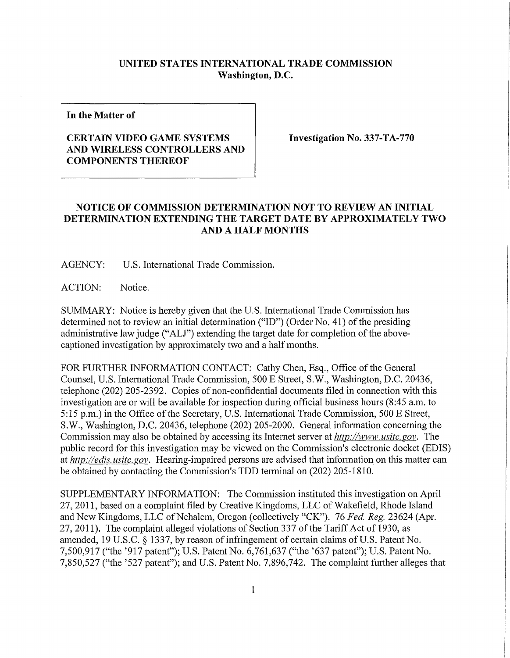## **UNITED STATES INTERNATIONAL TRADE COMMISSION Washington, D.C.**

**In the Matter of** 

## **CERTAIN VIDEO GAME SYSTEMS AND WIRELESS CONTROLLERS AND COMPONENTS THEREO F**

**Investigation No. 337-TA-770** 

## **NOTICE OF COMMISSION DETERMINATION NOT TO REVIEW AN INITIAL DETERMINATION EXTENDING THE TARGET DATE BY APPROXIMATELY TWO AND A HALF MONTHS**

AGENCY: U.S. International Trade Commission.

ACTION: Notice.

SUMMARY: Notice is hereby given that the U.S. International Trade Commission has determined not to review an initial determination ("ID") (Order No. 41) of the presiding administrative lawjudge ("ALJ") extending the target date for completion of the abovecaptioned investigation by approximately two and a half months.

FOR FURTHER INFORMATION CONTACT: Cathy Chen, Esq., Office of the General Counsel, U.S. International Trade Commission, 500 E Street, S.W., Washington, D.C. 20436, telephone (202) 205-2392. Copies of non-confidential documents filed in connection with this investigation are or will be available for inspection during official business hours (8:45 a.m. to 5:15 p.m.) in the Office of the Secretary, U.S. International Trade Commission, 500 E Street, S.W., Washington, D.C. 20436, telephone (202) 205-2000. General information concerning the Commission may also be obtained by accessing its Internet server at *http://www, usitc. gov.* The public record for this investigation may be viewed on the Commission's electronic docket (EDIS) at *http://edis. usitc.gov.* Hearing-impaired persons are advised that information on this matter can be obtained by contacting the Commission's TDD terminal on (202) 205-1810.

SUPPLEMENTARY INFORMATION: The Commission instituted this investigation on April 27, 2011, based on a complaint filed by Creative Kingdoms, LLC of Wakefield, Rhode Island and New Kingdoms, LLC of Nehalem, Oregon (collectively "CK"). 76 *Fed, Reg.* 23624 (Apr. 27, 2011). The complaint alleged violations of Section 337 of the Tariff Act of 1930, as amended, 19 U.S.C. § 1337, by reason of infringement of certain claims of U.S. Patent No. 7,500,917 ("the '917 patent"); U.S. Patent No. 6,761,637 ("the '637 patent"); U.S. Patent No.  $7,850,527$  ("the '527 patent"); and U.S. Patent No.  $7,896,742$ . The complaint further alleges that